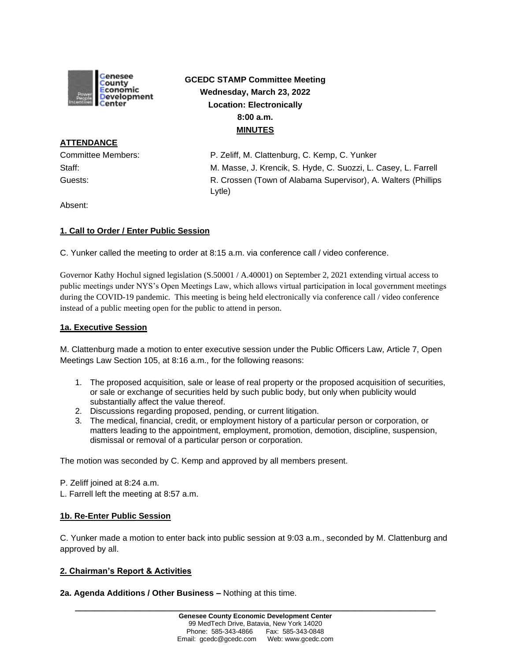

# **GCEDC STAMP Committee Meeting Wednesday, March 23, 2022 Location: Electronically 8:00 a.m. MINUTES**

# **ATTENDANCE**

Committee Members: P. Zeliff, M. Clattenburg, C. Kemp, C. Yunker Staff: M. Masse, J. Krencik, S. Hyde, C. Suozzi, L. Casey, L. Farrell Guests: R. Crossen (Town of Alabama Supervisor), A. Walters (Phillips Lytle)

Absent:

## **1. Call to Order / Enter Public Session**

C. Yunker called the meeting to order at 8:15 a.m. via conference call / video conference.

Governor Kathy Hochul signed legislation (S.50001 / A.40001) on September 2, 2021 extending virtual access to public meetings under NYS's Open Meetings Law, which allows virtual participation in local government meetings during the COVID-19 pandemic. This meeting is being held electronically via conference call / video conference instead of a public meeting open for the public to attend in person.

#### **1a. Executive Session**

M. Clattenburg made a motion to enter executive session under the Public Officers Law, Article 7, Open Meetings Law Section 105, at 8:16 a.m., for the following reasons:

- 1. The proposed acquisition, sale or lease of real property or the proposed acquisition of securities, or sale or exchange of securities held by such public body, but only when publicity would substantially affect the value thereof.
- 2. Discussions regarding proposed, pending, or current litigation.
- 3. The medical, financial, credit, or employment history of a particular person or corporation, or matters leading to the appointment, employment, promotion, demotion, discipline, suspension, dismissal or removal of a particular person or corporation.

The motion was seconded by C. Kemp and approved by all members present.

- P. Zeliff joined at 8:24 a.m.
- L. Farrell left the meeting at 8:57 a.m.

#### **1b. Re-Enter Public Session**

C. Yunker made a motion to enter back into public session at 9:03 a.m., seconded by M. Clattenburg and approved by all.

#### **2. Chairman's Report & Activities**

**2a. Agenda Additions / Other Business –** Nothing at this time.

**\_\_\_\_\_\_\_\_\_\_\_\_\_\_\_\_\_\_\_\_\_\_\_\_\_\_\_\_\_\_\_\_\_\_\_\_\_\_\_\_\_\_\_\_\_\_\_\_\_\_\_\_\_\_\_\_\_\_\_\_\_\_\_\_\_\_\_\_\_\_\_\_**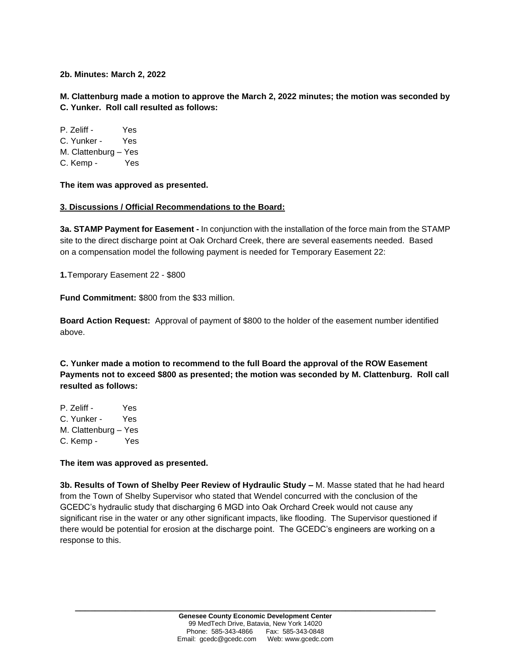**2b. Minutes: March 2, 2022**

**M. Clattenburg made a motion to approve the March 2, 2022 minutes; the motion was seconded by C. Yunker. Roll call resulted as follows:**

P. Zeliff - Yes C. Yunker - Yes M. Clattenburg – Yes C. Kemp - Yes

**The item was approved as presented.**

#### **3. Discussions / Official Recommendations to the Board:**

**3a. STAMP Payment for Easement -** In conjunction with the installation of the force main from the STAMP site to the direct discharge point at Oak Orchard Creek, there are several easements needed. Based on a compensation model the following payment is needed for Temporary Easement 22:

**1.**Temporary Easement 22 - \$800

**Fund Commitment:** \$800 from the \$33 million.

**Board Action Request:** Approval of payment of \$800 to the holder of the easement number identified above.

**C. Yunker made a motion to recommend to the full Board the approval of the ROW Easement Payments not to exceed \$800 as presented; the motion was seconded by M. Clattenburg. Roll call resulted as follows:**

P. Zeliff - Yes C. Yunker - Yes M. Clattenburg – Yes C. Kemp - Yes

#### **The item was approved as presented.**

**3b. Results of Town of Shelby Peer Review of Hydraulic Study –** M. Masse stated that he had heard from the Town of Shelby Supervisor who stated that Wendel concurred with the conclusion of the GCEDC's hydraulic study that discharging 6 MGD into Oak Orchard Creek would not cause any significant rise in the water or any other significant impacts, like flooding. The Supervisor questioned if there would be potential for erosion at the discharge point. The GCEDC's engineers are working on a response to this.

**\_\_\_\_\_\_\_\_\_\_\_\_\_\_\_\_\_\_\_\_\_\_\_\_\_\_\_\_\_\_\_\_\_\_\_\_\_\_\_\_\_\_\_\_\_\_\_\_\_\_\_\_\_\_\_\_\_\_\_\_\_\_\_\_\_\_\_\_\_\_\_\_**